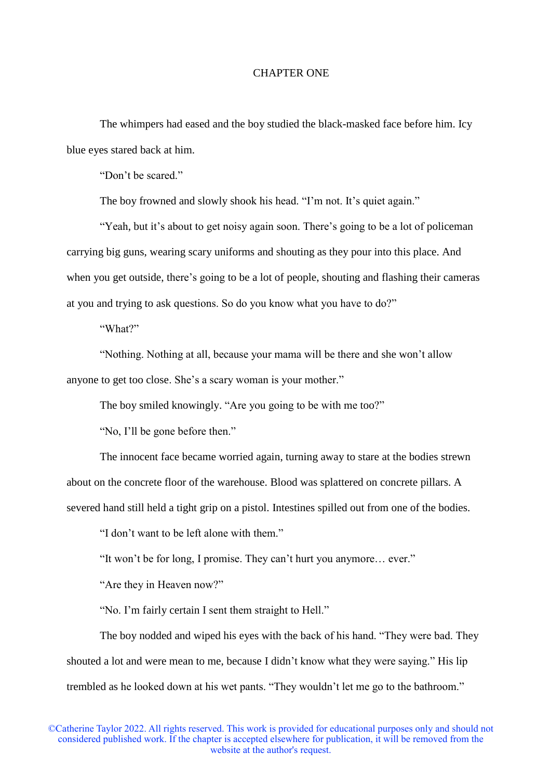## CHAPTER ONE

The whimpers had eased and the boy studied the black-masked face before him. Icy blue eyes stared back at him.

"Don't be scared."

The boy frowned and slowly shook his head. "I'm not. It's quiet again."

"Yeah, but it's about to get noisy again soon. There's going to be a lot of policeman carrying big guns, wearing scary uniforms and shouting as they pour into this place. And when you get outside, there's going to be a lot of people, shouting and flashing their cameras at you and trying to ask questions. So do you know what you have to do?"

"What?"

"Nothing. Nothing at all, because your mama will be there and she won't allow anyone to get too close. She's a scary woman is your mother."

The boy smiled knowingly. "Are you going to be with me too?"

"No, I'll be gone before then."

The innocent face became worried again, turning away to stare at the bodies strewn about on the concrete floor of the warehouse. Blood was splattered on concrete pillars. A severed hand still held a tight grip on a pistol. Intestines spilled out from one of the bodies.

"I don't want to be left alone with them."

"It won't be for long, I promise. They can't hurt you anymore… ever."

"Are they in Heaven now?"

"No. I'm fairly certain I sent them straight to Hell."

The boy nodded and wiped his eyes with the back of his hand. "They were bad. They shouted a lot and were mean to me, because I didn't know what they were saying." His lip trembled as he looked down at his wet pants. "They wouldn't let me go to the bathroom."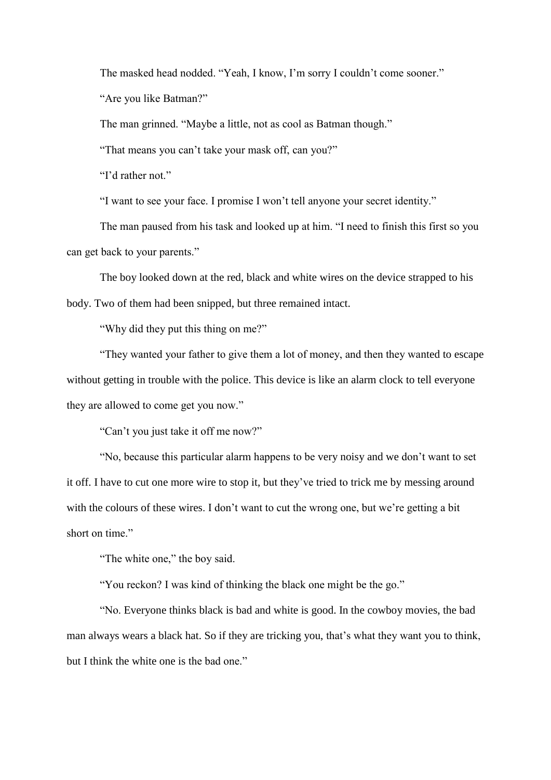The masked head nodded. "Yeah, I know, I'm sorry I couldn't come sooner." "Are you like Batman?"

The man grinned. "Maybe a little, not as cool as Batman though."

"That means you can't take your mask off, can you?"

"I'd rather not."

"I want to see your face. I promise I won't tell anyone your secret identity."

The man paused from his task and looked up at him. "I need to finish this first so you can get back to your parents."

The boy looked down at the red, black and white wires on the device strapped to his body. Two of them had been snipped, but three remained intact.

"Why did they put this thing on me?"

"They wanted your father to give them a lot of money, and then they wanted to escape without getting in trouble with the police. This device is like an alarm clock to tell everyone they are allowed to come get you now."

"Can't you just take it off me now?"

"No, because this particular alarm happens to be very noisy and we don't want to set it off. I have to cut one more wire to stop it, but they've tried to trick me by messing around with the colours of these wires. I don't want to cut the wrong one, but we're getting a bit short on time."

"The white one," the boy said.

"You reckon? I was kind of thinking the black one might be the go."

"No. Everyone thinks black is bad and white is good. In the cowboy movies, the bad man always wears a black hat. So if they are tricking you, that's what they want you to think, but I think the white one is the bad one."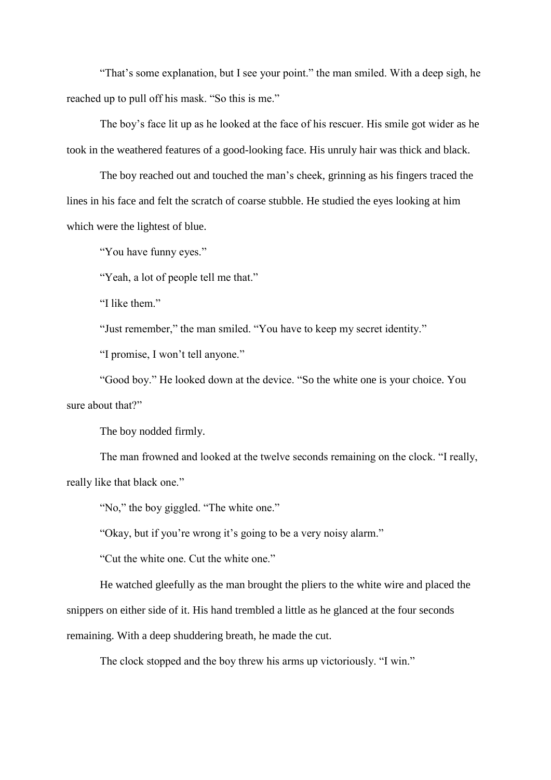"That's some explanation, but I see your point." the man smiled. With a deep sigh, he reached up to pull off his mask. "So this is me."

The boy's face lit up as he looked at the face of his rescuer. His smile got wider as he took in the weathered features of a good-looking face. His unruly hair was thick and black.

The boy reached out and touched the man's cheek, grinning as his fingers traced the lines in his face and felt the scratch of coarse stubble. He studied the eyes looking at him which were the lightest of blue.

"You have funny eyes."

"Yeah, a lot of people tell me that."

"I like them."

"Just remember," the man smiled. "You have to keep my secret identity."

"I promise, I won't tell anyone."

"Good boy." He looked down at the device. "So the white one is your choice. You sure about that?"

The boy nodded firmly.

The man frowned and looked at the twelve seconds remaining on the clock. "I really, really like that black one."

"No," the boy giggled. "The white one."

"Okay, but if you're wrong it's going to be a very noisy alarm."

"Cut the white one. Cut the white one."

He watched gleefully as the man brought the pliers to the white wire and placed the snippers on either side of it. His hand trembled a little as he glanced at the four seconds remaining. With a deep shuddering breath, he made the cut.

The clock stopped and the boy threw his arms up victoriously. "I win."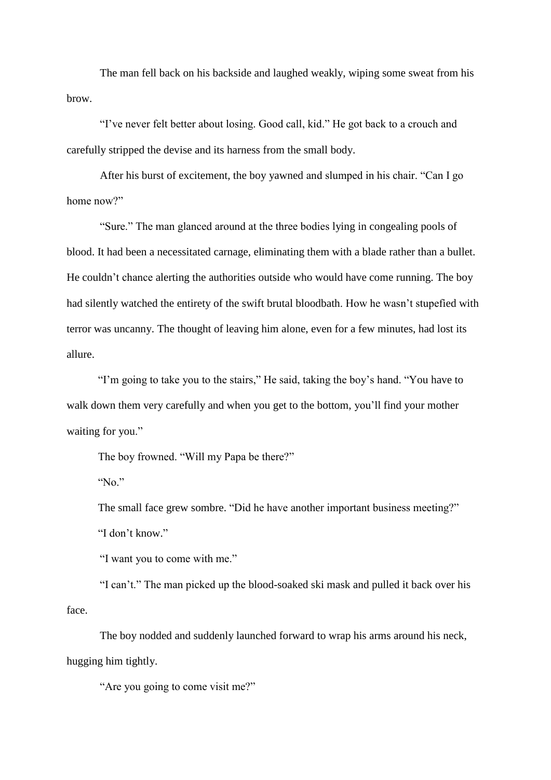The man fell back on his backside and laughed weakly, wiping some sweat from his brow.

"I've never felt better about losing. Good call, kid." He got back to a crouch and carefully stripped the devise and its harness from the small body.

After his burst of excitement, the boy yawned and slumped in his chair. "Can I go home now?"

"Sure." The man glanced around at the three bodies lying in congealing pools of blood. It had been a necessitated carnage, eliminating them with a blade rather than a bullet. He couldn't chance alerting the authorities outside who would have come running. The boy had silently watched the entirety of the swift brutal bloodbath. How he wasn't stupefied with terror was uncanny. The thought of leaving him alone, even for a few minutes, had lost its allure.

"I'm going to take you to the stairs," He said, taking the boy's hand. "You have to walk down them very carefully and when you get to the bottom, you'll find your mother waiting for you."

The boy frowned. "Will my Papa be there?"

"No."

The small face grew sombre. "Did he have another important business meeting?" "I don't know."

"I want you to come with me."

"I can't." The man picked up the blood-soaked ski mask and pulled it back over his face.

The boy nodded and suddenly launched forward to wrap his arms around his neck, hugging him tightly.

"Are you going to come visit me?"